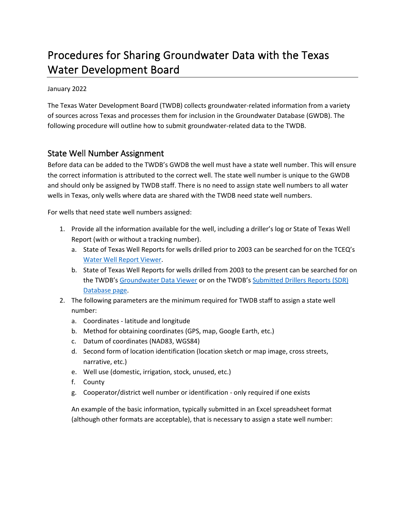# Procedures for Sharing Groundwater Data with the Texas Water Development Board

January 2022

The Texas Water Development Board (TWDB) collects groundwater-related information from a variety of sources across Texas and processes them for inclusion in the Groundwater Database (GWDB). The following procedure will outline how to submit groundwater-related data to the TWDB.

## State Well Number Assignment

Before data can be added to the TWDB's GWDB the well must have a state well number. This will ensure the correct information is attributed to the correct well. The state well number is unique to the GWDB and should only be assigned by TWDB staff. There is no need to assign state well numbers to all water wells in Texas, only wells where data are shared with the TWDB need state well numbers.

For wells that need state well numbers assigned:

- 1. Provide all the information available for the well, including a driller's log or State of Texas Well Report (with or without a tracking number).
	- a. State of Texas Well Reports for wells drilled prior to 2003 can be searched for on the TCEQ's [Water Well Report Viewer.](https://www.tceq.texas.gov/gis/waterwellview.html)
	- b. State of Texas Well Reports for wells drilled from 2003 to the present can be searched for on the TWDB's [Groundwater Data Viewer](https://www3.twdb.texas.gov/apps/WaterDataInteractive/GroundwaterDataViewer/?map=sdr) or on the TWDB's [Submitted Drillers Reports \(SDR\)](http://www.twdb.texas.gov/groundwater/data/drillersdb.asp)  [Database page.](http://www.twdb.texas.gov/groundwater/data/drillersdb.asp)
- 2. The following parameters are the minimum required for TWDB staff to assign a state well number:
	- a. Coordinates latitude and longitude
	- b. Method for obtaining coordinates (GPS, map, Google Earth, etc.)
	- c. Datum of coordinates (NAD83, WGS84)
	- d. Second form of location identification (location sketch or map image, cross streets, narrative, etc.)
	- e. Well use (domestic, irrigation, stock, unused, etc.)
	- f. County
	- g. Cooperator/district well number or identification only required if one exists

An example of the basic information, typically submitted in an Excel spreadsheet format (although other formats are acceptable), that is necessary to assign a state well number: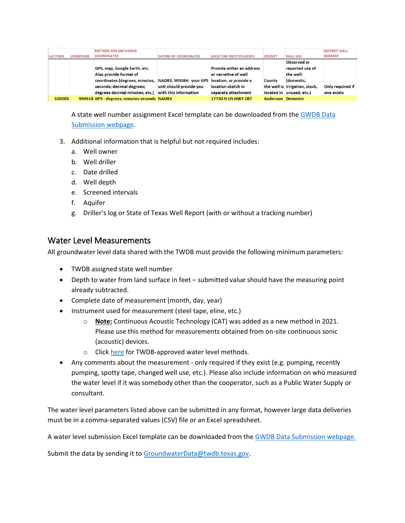|                 |                  | <b>METHOD FOR OBTAINING</b>                 |                                               |                                  |                          |                                | <b>DISTRICT WELL</b>    |
|-----------------|------------------|---------------------------------------------|-----------------------------------------------|----------------------------------|--------------------------|--------------------------------|-------------------------|
| <b>LATITUDE</b> | <b>LONGITUDE</b> | <b>COORDINATES</b>                          | <b>DATUM OF COORDINATES</b>                   | <b>LOCATION IDENTIFICATION</b>   | <b>COUNTY</b>            | <b>WELL USE</b>                | <b>NUMBER</b>           |
|                 |                  |                                             |                                               |                                  |                          | Observed or                    |                         |
|                 |                  | GPS, map, Google Earth, etc.                |                                               | <b>Provide either an address</b> |                          | reported use of                |                         |
|                 |                  | Also provide format of                      |                                               | or narrative of well             |                          | the well                       |                         |
|                 |                  | coordinates (degrees, minutes,              | NAD83, WGS84: your GPS location, or provide a |                                  | County                   | (domestic,                     |                         |
|                 |                  | seconds; decimal degrees;                   | unit should provide you                       | location sketch in               |                          | the well is irrigation, stock, | <b>Only required if</b> |
|                 |                  | degrees decimal minutes; etc.)              | with this information                         | separate attachment              |                          | located in unused, etc.)       | one exists              |
| 320203          |                  | 954518 GPS - degrees, minutes seconds NAD83 |                                               | 17750 N US HWY 287               | <b>Anderson Domestic</b> |                                |                         |

A state well number assignment Excel template can be downloaded from the GWDB Data Submission webpage.

- 3. Additional information that is helpful but not required includes:
	- a. Well owner
	- b. Well driller
	- c. Date drilled
	- d. Well depth
	- e. Screened intervals
	- f. Aquifer
	- g. Driller's log or State of Texas Well Report (with or without a tracking number)

#### Water Level Measurements

All groundwater level data shared with the TWDB must provide the following minimum parameters:

- TWDB assigned state well number
- Depth to water from land surface in feet submitted value should have the measuring point already subtracted.
- Complete date of measurement (month, day, year)
- Instrument used for measurement (steel tape, eline, etc.)
	- o **Note:** Continuous Acoustic Technology (CAT) was added as a new method in 2021. Please use this method for measurements obtained from on-site continuous sonic (acoustic) devices.
	- o Click here for TWDB-approved water level methods.
- Any comments about the measurement only required if they exist (e.g. pumping, recently pumping, spotty tape, changed well use, etc.). Please also include information on who measured the water level if it was somebody other than the cooperator, such as a Public Water Supply or consultant.

The water level parameters listed above can be submitted in any format, however large data deliveries must be in a comma-separated values (CSV) file or an Excel spreadsheet.

A water level submission Excel template can be downloaded from the GWDB Data Submission webpage.

Submit the data by sending it to [GroundwaterData@twdb.texas.gov.](mailto:GroundwaterData@twdb.texas.gov)